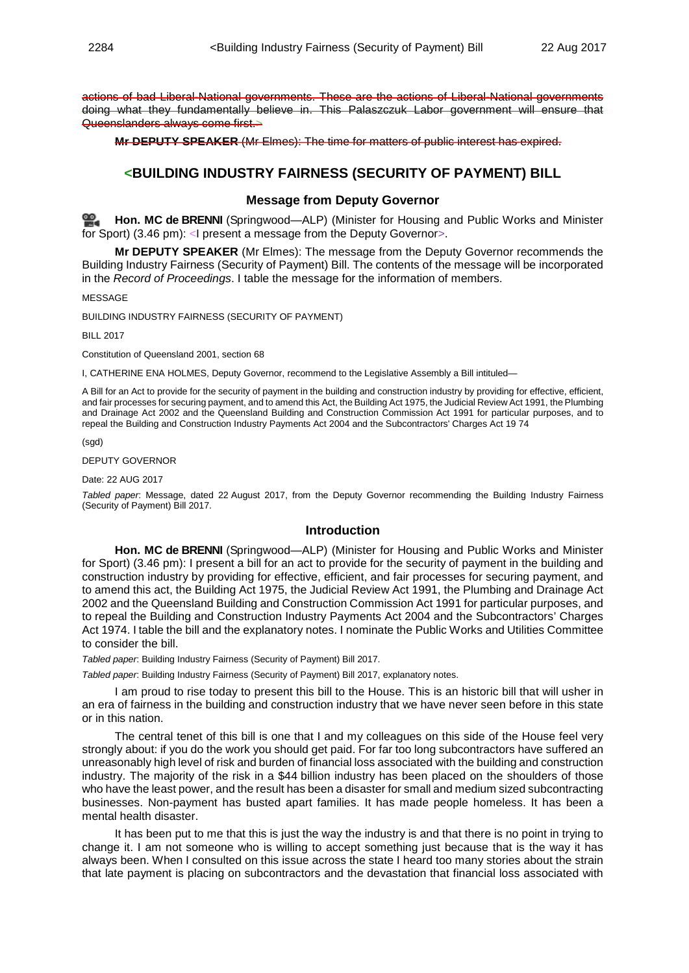actions of bad Liberal-National governments. These are the actions of Liberal-National governments doing what they fundamentally believe in. This Palaszczuk Labor government will ensure that Queenslanders always come first.>

**Mr DEPUTY SPEAKER** (Mr Elmes): The time for matters of public interest has expired.

# **<BUILDING INDUSTRY FAIRNESS (SECURITY OF PAYMENT) BILL**

#### **Message from Deputy Governor**

**Hon. MC [de BRENNI](http://www.parliament.qld.gov.au/docs/find.aspx?id=0Mba20170822_154550)** (Springwood—ALP) (Minister for Housing and Public Works and Minister for Sport) (3.46 pm): <I present a message from the Deputy Governor>.

**Mr DEPUTY SPEAKER** (Mr Elmes): The message from the Deputy Governor recommends the Building Industry Fairness (Security of Payment) Bill. The contents of the message will be incorporated in the *Record of Proceedings*. I table the message for the information of members.

MESSAGE

BUILDING INDUSTRY FAIRNESS (SECURITY OF PAYMENT)

BILL 2017

Constitution of Queensland 2001, section 68

I, CATHERINE ENA HOLMES, Deputy Governor, recommend to the Legislative Assembly a Bill intituled—

A Bill for an Act to provide for the security of payment in the building and construction industry by providing for effective, efficient, and fair processes for securing payment, and to amend this Act, the Building Act 1975, the Judicial Review Act 1991, the Plumbing and Drainage Act 2002 and the Queensland Building and Construction Commission Act 1991 for particular purposes, and to repeal the Building and Construction Industry Payments Act 2004 and the Subcontractors' Charges Act 19 74

(sgd)

DEPUTY GOVERNOR

Date: 22 AUG 2017

*Tabled paper*: Message, dated 22 August 2017, from the Deputy Governor recommending the Building Industry Fairness (Security of Payment) Bill 2017.

## **Introduction**

**Hon. MC de BRENNI** (Springwood—ALP) (Minister for Housing and Public Works and Minister for Sport) (3.46 pm): I present a bill for an act to provide for the security of payment in the building and construction industry by providing for effective, efficient, and fair processes for securing payment, and to amend this act, the Building Act 1975, the Judicial Review Act 1991, the Plumbing and Drainage Act 2002 and the Queensland Building and Construction Commission Act 1991 for particular purposes, and to repeal the Building and Construction Industry Payments Act 2004 and the Subcontractors' Charges Act 1974. I table the bill and the explanatory notes. I nominate the Public Works and Utilities Committee to consider the bill.

*Tabled paper*: Building Industry Fairness (Security of Payment) Bill 2017.

*Tabled paper*: Building Industry Fairness (Security of Payment) Bill 2017, explanatory notes.

I am proud to rise today to present this bill to the House. This is an historic bill that will usher in an era of fairness in the building and construction industry that we have never seen before in this state or in this nation.

The central tenet of this bill is one that I and my colleagues on this side of the House feel very strongly about: if you do the work you should get paid. For far too long subcontractors have suffered an unreasonably high level of risk and burden of financial loss associated with the building and construction industry. The majority of the risk in a \$44 billion industry has been placed on the shoulders of those who have the least power, and the result has been a disaster for small and medium sized subcontracting businesses. Non-payment has busted apart families. It has made people homeless. It has been a mental health disaster.

It has been put to me that this is just the way the industry is and that there is no point in trying to change it. I am not someone who is willing to accept something just because that is the way it has always been. When I consulted on this issue across the state I heard too many stories about the strain that late payment is placing on subcontractors and the devastation that financial loss associated with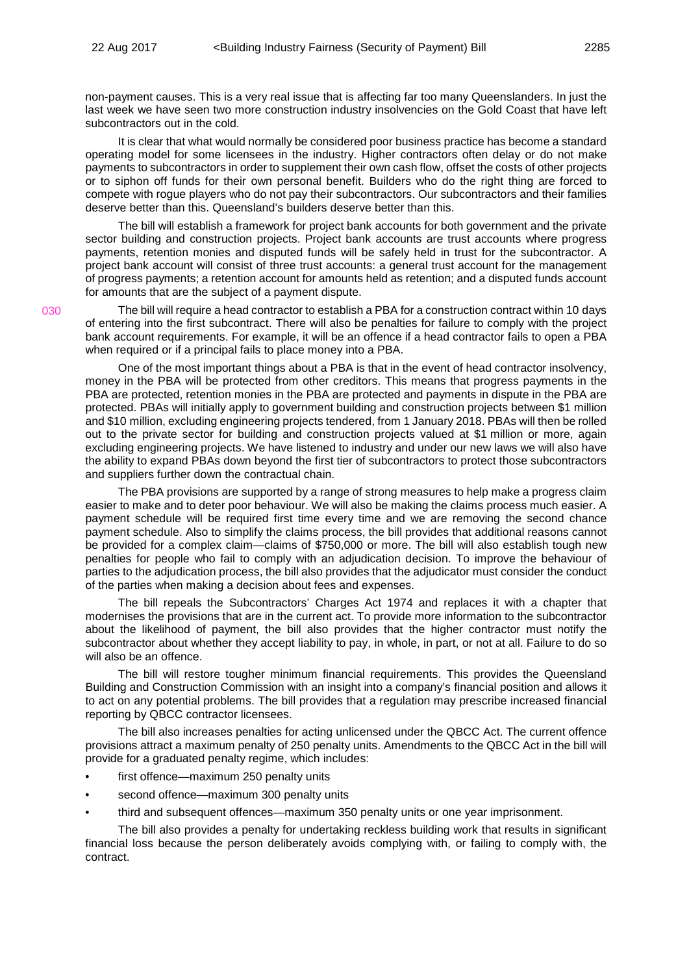030

non-payment causes. This is a very real issue that is affecting far too many Queenslanders. In just the last week we have seen two more construction industry insolvencies on the Gold Coast that have left subcontractors out in the cold.

It is clear that what would normally be considered poor business practice has become a standard operating model for some licensees in the industry. Higher contractors often delay or do not make payments to subcontractors in order to supplement their own cash flow, offset the costs of other projects or to siphon off funds for their own personal benefit. Builders who do the right thing are forced to compete with rogue players who do not pay their subcontractors. Our subcontractors and their families deserve better than this. Queensland's builders deserve better than this.

The bill will establish a framework for project bank accounts for both government and the private sector building and construction projects. Project bank accounts are trust accounts where progress payments, retention monies and disputed funds will be safely held in trust for the subcontractor. A project bank account will consist of three trust accounts: a general trust account for the management of progress payments; a retention account for amounts held as retention; and a disputed funds account for amounts that are the subject of a payment dispute.

The bill will require a head contractor to establish a PBA for a construction contract within 10 days of entering into the first subcontract. There will also be penalties for failure to comply with the project bank account requirements. For example, it will be an offence if a head contractor fails to open a PBA when required or if a principal fails to place money into a PBA.

One of the most important things about a PBA is that in the event of head contractor insolvency, money in the PBA will be protected from other creditors. This means that progress payments in the PBA are protected, retention monies in the PBA are protected and payments in dispute in the PBA are protected. PBAs will initially apply to government building and construction projects between \$1 million and \$10 million, excluding engineering projects tendered, from 1 January 2018. PBAs will then be rolled out to the private sector for building and construction projects valued at \$1 million or more, again excluding engineering projects. We have listened to industry and under our new laws we will also have the ability to expand PBAs down beyond the first tier of subcontractors to protect those subcontractors and suppliers further down the contractual chain.

The PBA provisions are supported by a range of strong measures to help make a progress claim easier to make and to deter poor behaviour. We will also be making the claims process much easier. A payment schedule will be required first time every time and we are removing the second chance payment schedule. Also to simplify the claims process, the bill provides that additional reasons cannot be provided for a complex claim—claims of \$750,000 or more. The bill will also establish tough new penalties for people who fail to comply with an adjudication decision. To improve the behaviour of parties to the adjudication process, the bill also provides that the adjudicator must consider the conduct of the parties when making a decision about fees and expenses.

The bill repeals the Subcontractors' Charges Act 1974 and replaces it with a chapter that modernises the provisions that are in the current act. To provide more information to the subcontractor about the likelihood of payment, the bill also provides that the higher contractor must notify the subcontractor about whether they accept liability to pay, in whole, in part, or not at all. Failure to do so will also be an offence.

The bill will restore tougher minimum financial requirements. This provides the Queensland Building and Construction Commission with an insight into a company's financial position and allows it to act on any potential problems. The bill provides that a regulation may prescribe increased financial reporting by QBCC contractor licensees.

The bill also increases penalties for acting unlicensed under the QBCC Act. The current offence provisions attract a maximum penalty of 250 penalty units. Amendments to the QBCC Act in the bill will provide for a graduated penalty regime, which includes:

- first offence—maximum 250 penalty units
- second offence—maximum 300 penalty units
- third and subsequent offences—maximum 350 penalty units or one year imprisonment.

The bill also provides a penalty for undertaking reckless building work that results in significant financial loss because the person deliberately avoids complying with, or failing to comply with, the contract.